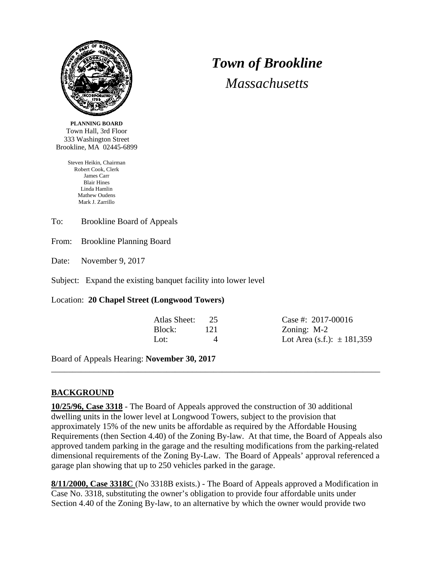

*Town of Brookline Massachusetts*

**PLANNING BOARD** Town Hall, 3rd Floor 333 Washington Street Brookline, MA 02445-6899

> Steven Heikin, Chairman Robert Cook, Clerk James Carr Blair Hines Linda Hamlin Mathew Oudens Mark J. Zarrillo

To: Brookline Board of Appeals

From: Brookline Planning Board

Date: November 9, 2017

Subject: Expand the existing banquet facility into lower level

Location: **20 Chapel Street (Longwood Towers)**

| Atlas Sheet: | 25       |
|--------------|----------|
| Block:       | 121      |
| Lot:         | $\Delta$ |

Case #:  $2017 - 00016$ Zoning:  $M-2$ Lot Area (s.f.):  $\pm$  181,359

Board of Appeals Hearing: **November 30, 2017**

## **BACKGROUND**

**10/25/96, Case 3318** - The Board of Appeals approved the construction of 30 additional dwelling units in the lower level at Longwood Towers, subject to the provision that approximately 15% of the new units be affordable as required by the Affordable Housing Requirements (then Section 4.40) of the Zoning By-law. At that time, the Board of Appeals also approved tandem parking in the garage and the resulting modifications from the parking-related dimensional requirements of the Zoning By-Law. The Board of Appeals' approval referenced a garage plan showing that up to 250 vehicles parked in the garage.

\_\_\_\_\_\_\_\_\_\_\_\_\_\_\_\_\_\_\_\_\_\_\_\_\_\_\_\_\_\_\_\_\_\_\_\_\_\_\_\_\_\_\_\_\_\_\_\_\_\_\_\_\_\_\_\_\_\_\_\_\_\_\_\_\_\_\_\_\_\_\_\_\_\_\_\_\_

**8/11/2000, Case 3318C** (No 3318B exists.) - The Board of Appeals approved a Modification in Case No. 3318, substituting the owner's obligation to provide four affordable units under Section 4.40 of the Zoning By-law, to an alternative by which the owner would provide two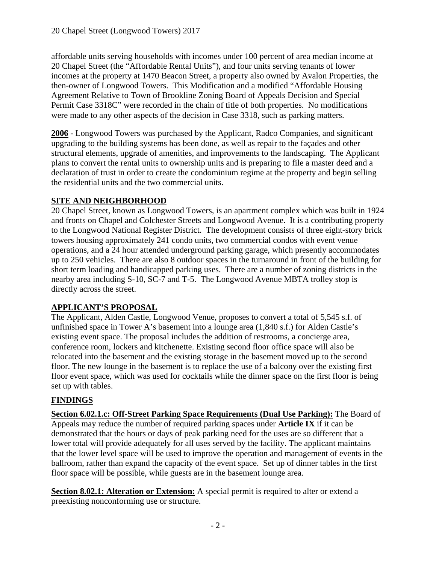affordable units serving households with incomes under 100 percent of area median income at 20 Chapel Street (the "Affordable Rental Units"), and four units serving tenants of lower incomes at the property at 1470 Beacon Street, a property also owned by Avalon Properties, the then-owner of Longwood Towers. This Modification and a modified "Affordable Housing Agreement Relative to Town of Brookline Zoning Board of Appeals Decision and Special Permit Case 3318C" were recorded in the chain of title of both properties. No modifications were made to any other aspects of the decision in Case 3318, such as parking matters.

**2006** - Longwood Towers was purchased by the Applicant, Radco Companies, and significant upgrading to the building systems has been done, as well as repair to the façades and other structural elements, upgrade of amenities, and improvements to the landscaping. The Applicant plans to convert the rental units to ownership units and is preparing to file a master deed and a declaration of trust in order to create the condominium regime at the property and begin selling the residential units and the two commercial units.

# **SITE AND NEIGHBORHOOD**

20 Chapel Street, known as Longwood Towers, is an apartment complex which was built in 1924 and fronts on Chapel and Colchester Streets and Longwood Avenue. It is a contributing property to the Longwood National Register District. The development consists of three eight-story brick towers housing approximately 241 condo units, two commercial condos with event venue operations, and a 24 hour attended underground parking garage, which presently accommodates up to 250 vehicles. There are also 8 outdoor spaces in the turnaround in front of the building for short term loading and handicapped parking uses. There are a number of zoning districts in the nearby area including S-10, SC-7 and T-5. The Longwood Avenue MBTA trolley stop is directly across the street.

# **APPLICANT'S PROPOSAL**

The Applicant, Alden Castle, Longwood Venue, proposes to convert a total of 5,545 s.f. of unfinished space in Tower A's basement into a lounge area (1,840 s.f.) for Alden Castle's existing event space. The proposal includes the addition of restrooms, a concierge area, conference room, lockers and kitchenette. Existing second floor office space will also be relocated into the basement and the existing storage in the basement moved up to the second floor. The new lounge in the basement is to replace the use of a balcony over the existing first floor event space, which was used for cocktails while the dinner space on the first floor is being set up with tables.

## **FINDINGS**

**Section 6.02.1.c: Off-Street Parking Space Requirements (Dual Use Parking):** The Board of Appeals may reduce the number of required parking spaces under **Article IX** if it can be demonstrated that the hours or days of peak parking need for the uses are so different that a lower total will provide adequately for all uses served by the facility. The applicant maintains that the lower level space will be used to improve the operation and management of events in the ballroom, rather than expand the capacity of the event space. Set up of dinner tables in the first floor space will be possible, while guests are in the basement lounge area.

**Section 8.02.1: Alteration or Extension:** A special permit is required to alter or extend a preexisting nonconforming use or structure.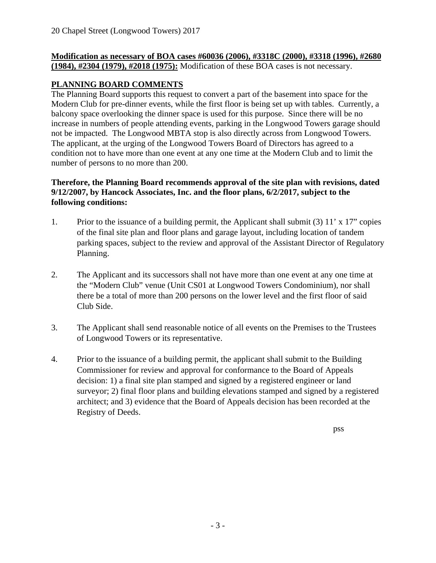#### **Modification as necessary of BOA cases #60036 (2006), #3318C (2000), #3318 (1996), #2680 (1984), #2304 (1979), #2018 (1975):** Modification of these BOA cases is not necessary.

# **PLANNING BOARD COMMENTS**

The Planning Board supports this request to convert a part of the basement into space for the Modern Club for pre-dinner events, while the first floor is being set up with tables. Currently, a balcony space overlooking the dinner space is used for this purpose. Since there will be no increase in numbers of people attending events, parking in the Longwood Towers garage should not be impacted. The Longwood MBTA stop is also directly across from Longwood Towers. The applicant, at the urging of the Longwood Towers Board of Directors has agreed to a condition not to have more than one event at any one time at the Modern Club and to limit the number of persons to no more than 200.

## **Therefore, the Planning Board recommends approval of the site plan with revisions, dated 9/12/2007, by Hancock Associates, Inc. and the floor plans, 6/2/2017, subject to the following conditions:**

- 1. Prior to the issuance of a building permit, the Applicant shall submit (3) 11' x 17" copies of the final site plan and floor plans and garage layout, including location of tandem parking spaces, subject to the review and approval of the Assistant Director of Regulatory Planning.
- 2. The Applicant and its successors shall not have more than one event at any one time at the "Modern Club" venue (Unit CS01 at Longwood Towers Condominium), nor shall there be a total of more than 200 persons on the lower level and the first floor of said Club Side.
- 3. The Applicant shall send reasonable notice of all events on the Premises to the Trustees of Longwood Towers or its representative.
- 4. Prior to the issuance of a building permit, the applicant shall submit to the Building Commissioner for review and approval for conformance to the Board of Appeals decision: 1) a final site plan stamped and signed by a registered engineer or land surveyor; 2) final floor plans and building elevations stamped and signed by a registered architect; and 3) evidence that the Board of Appeals decision has been recorded at the Registry of Deeds.

pss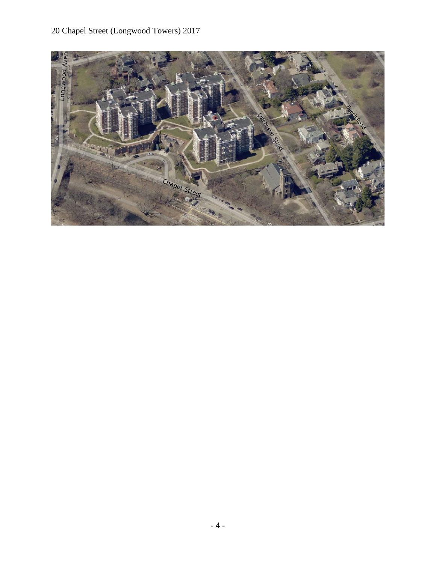# 20 Chapel Street (Longwood Towers) 2017

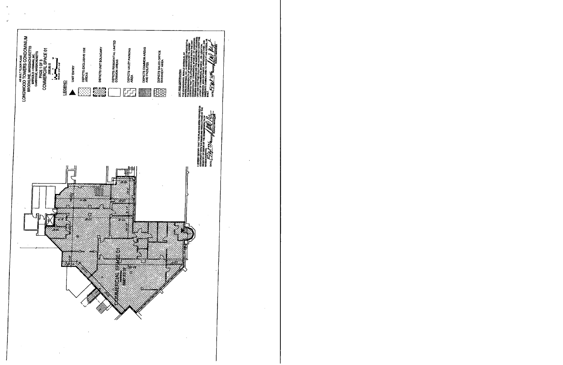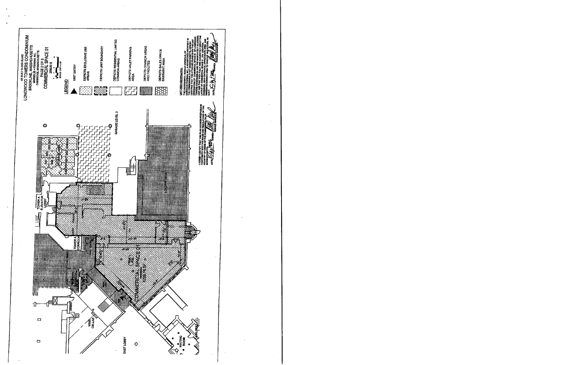

 $\ddot{\phantom{a}}$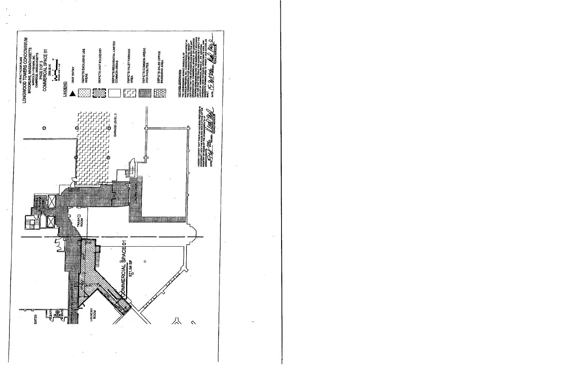

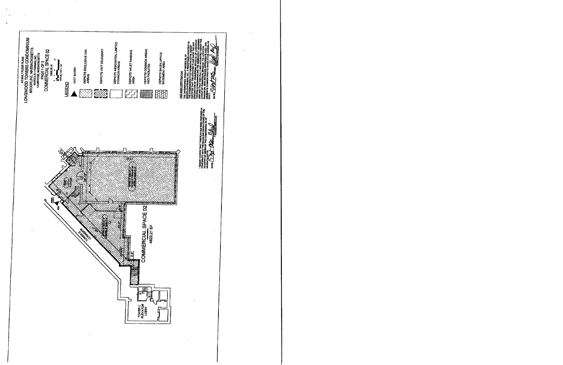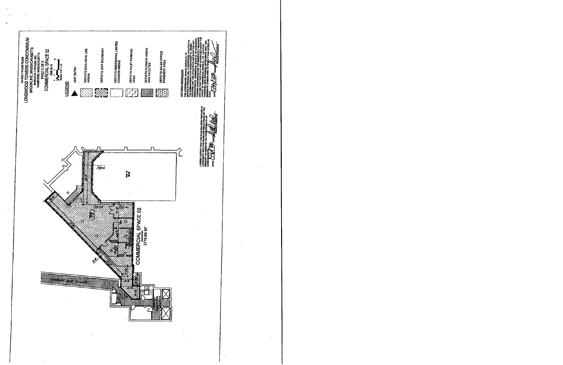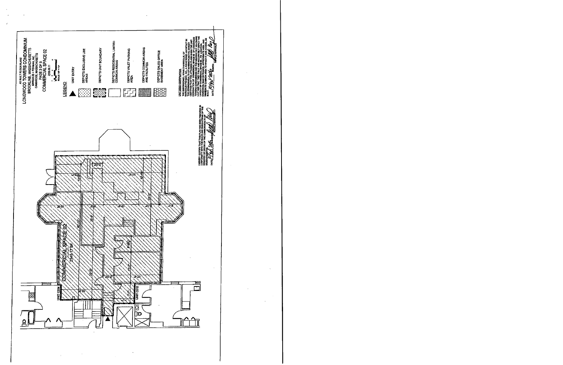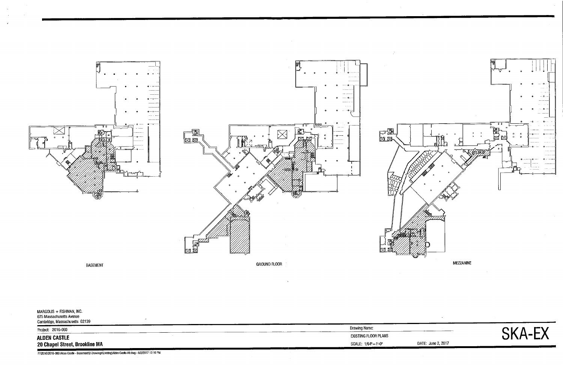

| MARGOLIS + FISHMAN, INC.<br>675 Massachusetts Avenue<br>Cambridge, Massachusetts 02139 |                             |
|----------------------------------------------------------------------------------------|-----------------------------|
| Project: 2016-060                                                                      | <b>Drawing Name:</b>        |
| <b>ALDEN CASTLE</b>                                                                    | <b>EXISTING FLOOR PLANS</b> |
| 20 Chapel Street, Brookline MA                                                         | SCALE: 1/64"=1'-0"          |

P:\2016\2016-080 Alden Castle - Basement\2-Drawings\Existing\Alden Castle-All.dwg - 6/2/2017 12:10 PM

 $\sim$ 



DATE: June 2, 2017

 $\sim$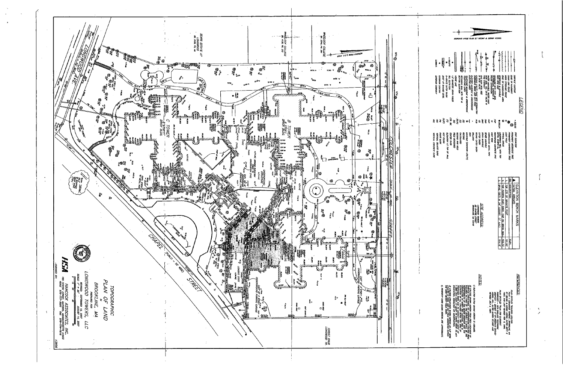

| <b>TREST</b><br><b>Talla</b><br>I<br>B<br><b>CATERIOP DOPRWAY</b><br><b>CARRIOT TICHTAG</b><br>ちょうこう てきょう<br><b>WILKNATS</b><br>מים: יוג סיגיוס הניבר | مستستحدث<br>ר<br>וא<br>ין<br>ו"<br>j<br><b>ELEDRE HANRE &amp; UNDERGROUD</b><br>ELEDRE LINES<br>347 30GH<br><b>MULKISTS MULLOP</b><br>南川之家 美仁 美兒 70P 牛<br>ר"ז, מחיות עצמא אסלבין<br><b>TELEMONE ANNOL &amp; UREFIGNONIA</b><br>TELEMONE LANDI                                                                                                                        | <b>X-25-</b><br>一般<br>e<br>T<br>DORMS UTAIT POLE WIN DESCAUTON<br>OVERFERS WREE AND CUY POLE<br><b>CATE MARK</b><br>A GATE MARK<br><b>PANNARE WITH PIPE SIZE</b><br>CATCHRAIGH MANIOLE &<br>ROUND CATCHRAIGH<br>WAS TEL CATE MLK 4<br>WAS HIZRAY<br>委员会 人名英格兰 医分裂 无色 | -<br>-<br>-<br>-<br>www.com<br><b>SARVICE CONTOUR</b><br><b>START &amp; WANTED</b><br><b>DOE OF LANDSCAPED AREA</b><br>כאינו האי צוות<br>DOC OF PAKEMENT<br><b>DIGE SUBSIDE LEVEL</b>                                                         |  |
|-------------------------------------------------------------------------------------------------------------------------------------------------------|----------------------------------------------------------------------------------------------------------------------------------------------------------------------------------------------------------------------------------------------------------------------------------------------------------------------------------------------------------------------|----------------------------------------------------------------------------------------------------------------------------------------------------------------------------------------------------------------------------------------------------------------------|-----------------------------------------------------------------------------------------------------------------------------------------------------------------------------------------------------------------------------------------------|--|
| cm. ak.<br>ŝ<br>₹<br>B<br>ā<br>ğ                                                                                                                      | $\frac{2}{3}$<br>g<br>Ŝ<br>Ś                                                                                                                                                                                                                                                                                                                                         | akt<br>đ<br>Ş<br>Ş<br>₹<br>Q<br>Q                                                                                                                                                                                                                                    | דפכאו <i>ר</i><br>$\ddot{\ast}$<br>- 252.65<br>医尿头<br>Ø                                                                                                                                                                                       |  |
| FAMT KAFK<br>EEMTRIX AT TOP OF WALL<br><b>HOT POINT</b><br>סאובצ פיטג<br>VERTICAL CONCRETE CURB<br><b>VERTICAL CRANTE CURB</b>                        | Ş<br>CILCIUM<br><b>CELD NEVERSED</b><br><b>REGORD AND WELD</b><br>eas on<br>WARDLE (WARNOW) UTILITI                                                                                                                                                                                                                                                                  | aurrus<br>אמאס הובא פאמא<br><b>TRHIN HIVIDE</b><br><b>ROW 1517</b><br>כיום שהוא<br><b>SCHER ALIMATE</b><br>COMPUCATED METAL PAST<br><b>REVERED CONCRETE PIPE</b>                                                                                                     | <b>TRA LIEU</b><br><b>PROMPENT DECIDENCIA TREE</b><br>PROMINENT CONVENIOUS TREE<br><b>POT EEMINA</b><br>THICAL SHAUE<br>MONTORNS NELL WITH TOP<br>NETAL CASTNG EL                                                                             |  |
|                                                                                                                                                       |                                                                                                                                                                                                                                                                                                                                                                      | STE ADDRESS.<br>שנתחים באתם מדי<br>שנתחים באתם<br><b>CACHOLOGY TO HEAR</b>                                                                                                                                                                                           | NO. I DESCRIPTION<br>TOP CTR OF GRANTE POST<br>DATURE ASSUMED<br><b>DLEVYION BUNCH MARKS</b><br>SPIKE (SET) IN 34 LOCUST (1 AG)<br>TOP (NORTH CNR) CONC. CAP ON BRICK<br><b>NA</b><br>22.72<br>ក្នុ<br>S<br>8<br>물                            |  |
| <b>J PROPERTY UNES SYDNA HERECA ARE APPROXIMATE</b>                                                                                                   | פראוויסט של איך נטרי עצי פרט אין עיר יוצר ליצר ליצר באופן האין על האין על האין על האין על האין על האין על האין<br>אין אין על האין על האין על האין על האין על האין על האין על האין על האין על האין על האין על האין על האין על האי<br>PROPOSED HUM AND TO CONTACT DIG-SHE AT<br>1-888-344-7223 AT LEAST 72 HOURS PRIOT TO ANT<br>ERCANTION, DEVOLTION OR CONSTRUCTION. | MOTS<br><b>CITY AND A NUM AND A NUMBER ASSESS</b><br>ASSOC INC., DI ISD HARDI 27,1997 AND<br>COMPANY - ENHAL A' BY NEDHAW SHEY<br><b>RIVED LVY 2 1997</b>                                                                                                            | REFERENCES.<br>אטו רסי האורואים בהוונדם וירא<br>האופט אינו איז בועע פיינואי אינו<br>A.W. - LOVEWOOD TOMPRS', BROOKLINE MA<br>BY SEE GIVE AWAY ASSOC DITED SEPT 5<br>PLANDING - NEW DAD AND TELEPHONE<br>1983, AND LAST REVISED FEB. \$. FRUS. |  |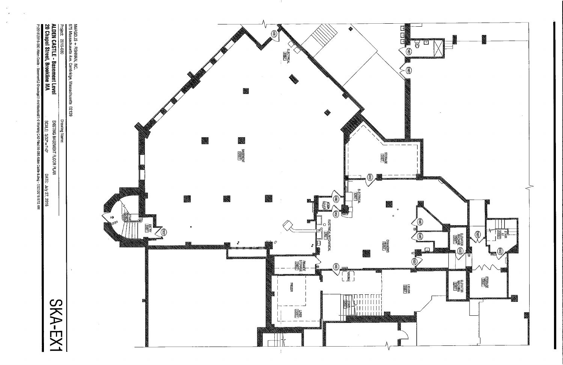